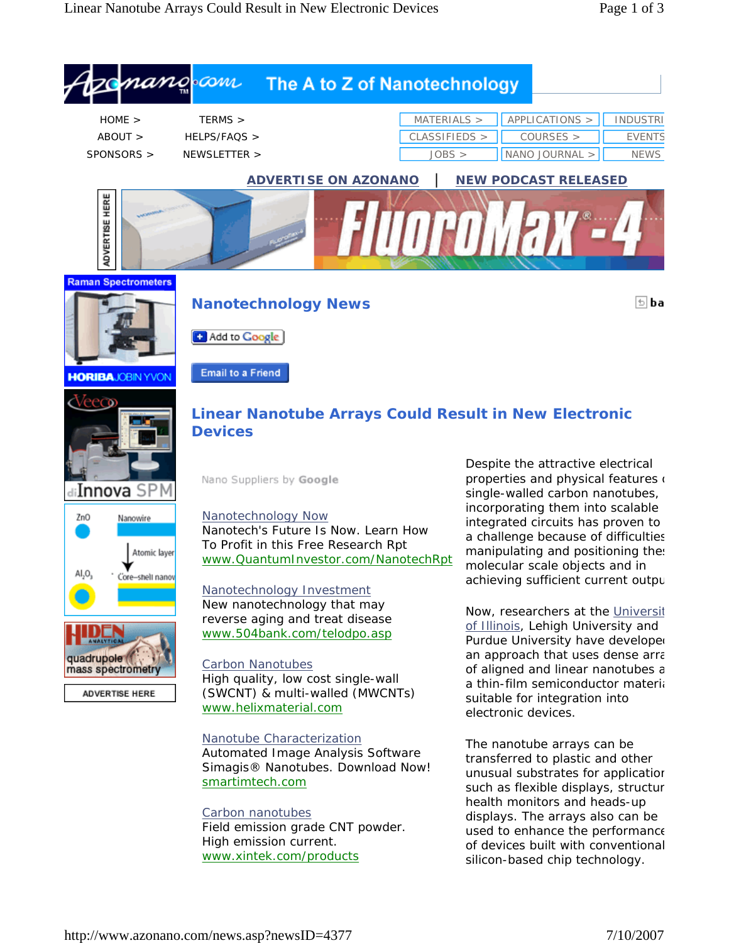



ADVERTISE HERE

**Nanotechnology News**



[+ Add to Google]

**Email to a Friend** 



## **Linear Nanotube Arrays Could Result in New Electronic Devices**

Nano Suppliers by Google





ADVERTISE HERE

Nanotechnology Now Nanotech's Future Is Now. Learn How To Profit in this Free Research Rpt www.QuantumInvestor.com/NanotechRpt

Nanotechnology Investment New nanotechnology that may reverse aging and treat disease www.504bank.com/telodpo.asp

## Carbon Nanotubes High quality, low cost single-wall (SWCNT) & multi-walled (MWCNTs) www.helixmaterial.com

## Nanotube Characterization

Automated Image Analysis Software Simagis® Nanotubes. Download Now! smartimtech.com

## Carbon nanotubes

Field emission grade CNT powder. High emission current. www.xintek.com/products

Despite the attractive electrical properties and physical features  $($ single-walled carbon nanotubes, incorporating them into scalable integrated circuits has proven to a challenge because of difficulties manipulating and positioning these molecular scale objects and in achieving sufficient current outpu

Now, researchers at the Universit of Illinois, Lehigh University and Purdue University have developed an approach that uses dense arra of aligned and linear nanotubes a a thin-film semiconductor materia suitable for integration into electronic devices.

The nanotube arrays can be transferred to plastic and other unusual substrates for application such as flexible displays, structur health monitors and heads-up displays. The arrays also can be used to enhance the performance of devices built with conventional silicon-based chip technology.

® ba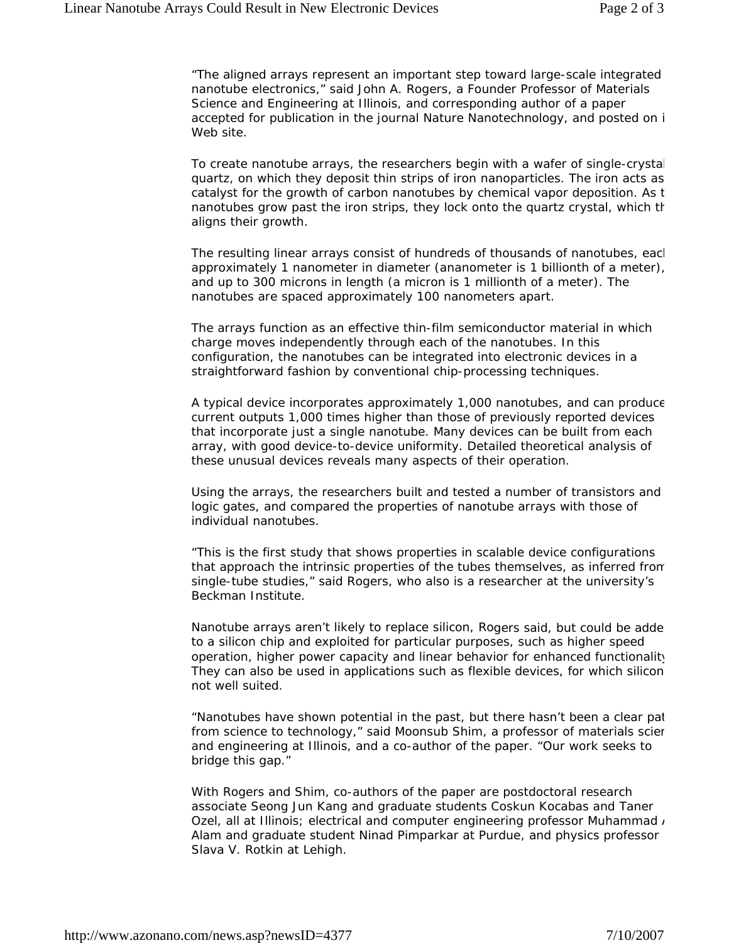"The aligned arrays represent an important step toward large-scale integrated nanotube electronics," said John A. Rogers, a Founder Professor of Materials Science and Engineering at Illinois, and corresponding author of a paper accepted for publication in the journal Nature Nanotechnology, and posted on i Web site.

To create nanotube arrays, the researchers begin with a wafer of single-crystal quartz, on which they deposit thin strips of iron nanoparticles. The iron acts as catalyst for the growth of carbon nanotubes by chemical vapor deposition. As t nanotubes grow past the iron strips, they lock onto the quartz crystal, which th aligns their growth.

The resulting linear arrays consist of hundreds of thousands of nanotubes, eacl approximately 1 nanometer in diameter (ananometer is 1 billionth of a meter), and up to 300 microns in length (a micron is 1 millionth of a meter). The nanotubes are spaced approximately 100 nanometers apart.

The arrays function as an effective thin-film semiconductor material in which charge moves independently through each of the nanotubes. In this configuration, the nanotubes can be integrated into electronic devices in a straightforward fashion by conventional chip-processing techniques.

A typical device incorporates approximately 1,000 nanotubes, and can produce current outputs 1,000 times higher than those of previously reported devices that incorporate just a single nanotube. Many devices can be built from each array, with good device-to-device uniformity. Detailed theoretical analysis of these unusual devices reveals many aspects of their operation.

Using the arrays, the researchers built and tested a number of transistors and logic gates, and compared the properties of nanotube arrays with those of individual nanotubes.

"This is the first study that shows properties in scalable device configurations that approach the intrinsic properties of the tubes themselves, as inferred from single-tube studies," said Rogers, who also is a researcher at the university's Beckman Institute.

Nanotube arrays aren't likely to replace silicon, Rogers said, but could be adde to a silicon chip and exploited for particular purposes, such as higher speed operation, higher power capacity and linear behavior for enhanced functionality They can also be used in applications such as flexible devices, for which silicon not well suited.

"Nanotubes have shown potential in the past, but there hasn't been a clear pat from science to technology," said Moonsub Shim, a professor of materials scien and engineering at Illinois, and a co-author of the paper. "Our work seeks to bridge this gap."

With Rogers and Shim, co-authors of the paper are postdoctoral research associate Seong Jun Kang and graduate students Coskun Kocabas and Taner Ozel, all at Illinois; electrical and computer engineering professor Muhammad / Alam and graduate student Ninad Pimparkar at Purdue, and physics professor Slava V. Rotkin at Lehigh.